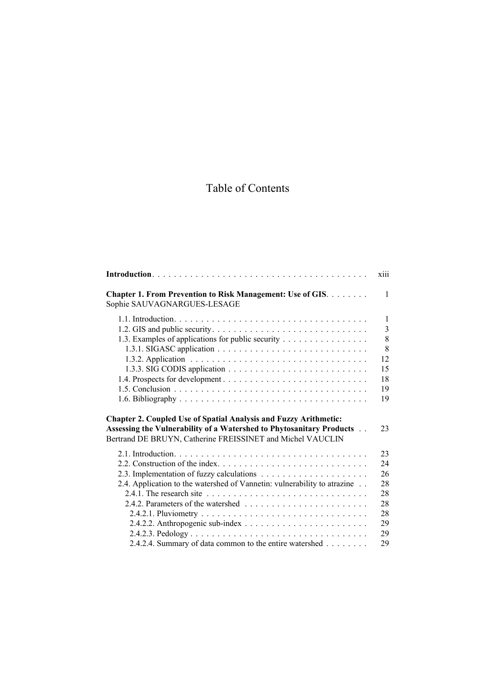## Table of Contents

|                                                                                                                                                                                                               | xiii           |
|---------------------------------------------------------------------------------------------------------------------------------------------------------------------------------------------------------------|----------------|
| Chapter 1. From Prevention to Risk Management: Use of GIS.<br>Sophie SAUVAGNARGUES-LESAGE                                                                                                                     | $\mathbf{1}$   |
|                                                                                                                                                                                                               | $\mathbf{1}$   |
|                                                                                                                                                                                                               | $\overline{3}$ |
| 1.3. Examples of applications for public security                                                                                                                                                             | 8              |
|                                                                                                                                                                                                               | 8              |
|                                                                                                                                                                                                               | 12             |
|                                                                                                                                                                                                               | 15             |
|                                                                                                                                                                                                               | 18             |
|                                                                                                                                                                                                               | 19             |
|                                                                                                                                                                                                               | 19             |
| <b>Chapter 2. Coupled Use of Spatial Analysis and Fuzzy Arithmetic:</b><br>Assessing the Vulnerability of a Watershed to Phytosanitary Products<br>Bertrand DE BRUYN, Catherine FREISSINET and Michel VAUCLIN | 23             |
|                                                                                                                                                                                                               | 23             |
|                                                                                                                                                                                                               | 24             |
|                                                                                                                                                                                                               | 26             |
| 2.4. Application to the watershed of Vannetin: vulnerability to atrazine                                                                                                                                      | 28             |
|                                                                                                                                                                                                               | 28             |
|                                                                                                                                                                                                               | 28             |
|                                                                                                                                                                                                               | 28             |
|                                                                                                                                                                                                               | 29             |
|                                                                                                                                                                                                               | 29             |
| 2.4.2.4. Summary of data common to the entire watershed                                                                                                                                                       | 29             |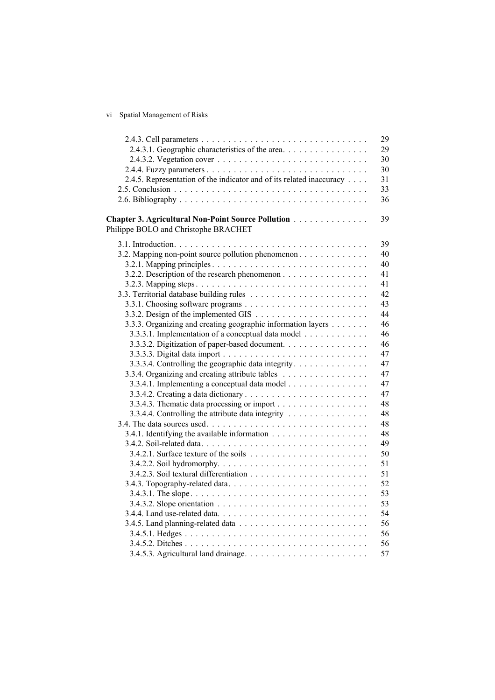vi Spatial Management of Risks

|                                                                      | 29 |
|----------------------------------------------------------------------|----|
| 2.4.3.1. Geographic characteristics of the area.                     | 29 |
|                                                                      | 30 |
|                                                                      | 30 |
| 2.4.5. Representation of the indicator and of its related inaccuracy | 31 |
|                                                                      | 33 |
|                                                                      | 36 |
| Chapter 3. Agricultural Non-Point Source Pollution                   | 39 |
| Philippe BOLO and Christophe BRACHET                                 |    |
|                                                                      | 39 |
| 3.2. Mapping non-point source pollution phenomenon                   | 40 |
|                                                                      | 40 |
| 3.2.2. Description of the research phenomenon                        | 41 |
|                                                                      | 41 |
|                                                                      | 42 |
|                                                                      | 43 |
|                                                                      | 44 |
| 3.3.3. Organizing and creating geographic information layers         | 46 |
| 3.3.3.1. Implementation of a conceptual data model                   | 46 |
| 3.3.3.2. Digitization of paper-based document.                       | 46 |
|                                                                      | 47 |
| 3.3.3.4. Controlling the geographic data integrity.                  | 47 |
| 3.3.4. Organizing and creating attribute tables                      | 47 |
| 3.3.4.1. Implementing a conceptual data model                        | 47 |
|                                                                      | 47 |
|                                                                      | 48 |
| 3.3.4.4. Controlling the attribute data integrity                    | 48 |
|                                                                      | 48 |
|                                                                      | 48 |
|                                                                      | 49 |
|                                                                      | 50 |
|                                                                      | 51 |
|                                                                      | 51 |
|                                                                      | 52 |
|                                                                      | 53 |
|                                                                      | 53 |
|                                                                      | 54 |
|                                                                      | 56 |
|                                                                      | 56 |
|                                                                      | 56 |
|                                                                      | 57 |
|                                                                      |    |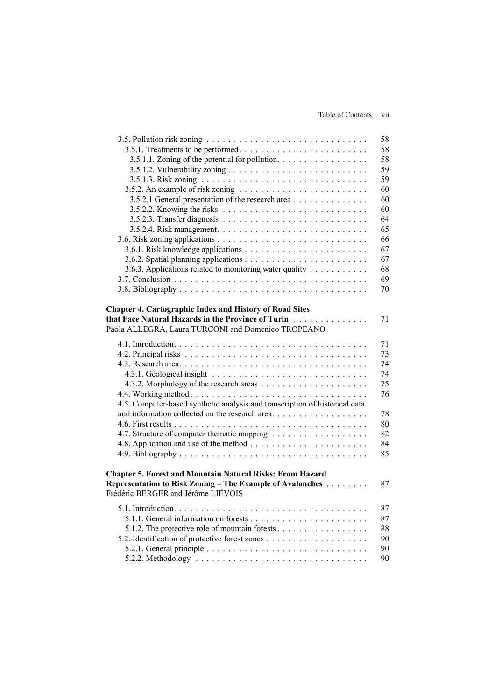|                                                                                                                                           | 58 |
|-------------------------------------------------------------------------------------------------------------------------------------------|----|
| 3.5.1. Treatments to be performed                                                                                                         | 58 |
| 3.5.1.1. Zoning of the potential for pollution.                                                                                           | 58 |
|                                                                                                                                           | 59 |
|                                                                                                                                           | 59 |
| 3.5.2. An example of risk zoning $\ldots \ldots \ldots \ldots \ldots \ldots \ldots$                                                       | 60 |
| 3.5.2.1 General presentation of the research area                                                                                         | 60 |
| 3.5.2.2. Knowing the risks $\ldots \ldots \ldots \ldots \ldots \ldots \ldots \ldots \ldots$                                               | 60 |
|                                                                                                                                           | 64 |
|                                                                                                                                           | 65 |
|                                                                                                                                           | 66 |
|                                                                                                                                           | 67 |
|                                                                                                                                           | 67 |
| 3.6.3. Applications related to monitoring water quality                                                                                   | 68 |
|                                                                                                                                           | 69 |
|                                                                                                                                           | 70 |
|                                                                                                                                           |    |
| <b>Chapter 4. Cartographic Index and History of Road Sites</b>                                                                            |    |
| that Face Natural Hazards in the Province of Turin                                                                                        | 71 |
|                                                                                                                                           |    |
| Paola ALLEGRA, Laura TURCONI and Domenico TROPEANO                                                                                        |    |
|                                                                                                                                           | 71 |
|                                                                                                                                           | 73 |
|                                                                                                                                           | 74 |
|                                                                                                                                           | 74 |
|                                                                                                                                           | 75 |
|                                                                                                                                           | 76 |
| 4.5. Computer-based synthetic analysis and transcription of historical data                                                               |    |
| and information collected on the research area                                                                                            | 78 |
|                                                                                                                                           | 80 |
|                                                                                                                                           | 82 |
|                                                                                                                                           | 84 |
|                                                                                                                                           | 85 |
|                                                                                                                                           |    |
| <b>Chapter 5. Forest and Mountain Natural Risks: From Hazard</b>                                                                          |    |
| <b>Representation to Risk Zoning – The Example of Avalanches Alleman Accord Representation to Risk Zoning – The Example of Avalanches</b> | 87 |
| Frédéric BERGER and Jérôme LIÉVOIS                                                                                                        |    |
|                                                                                                                                           |    |
|                                                                                                                                           | 87 |
|                                                                                                                                           | 87 |
| 5.1.2. The protective role of mountain forests                                                                                            | 88 |
|                                                                                                                                           | 90 |
|                                                                                                                                           | 90 |
|                                                                                                                                           | 90 |
|                                                                                                                                           |    |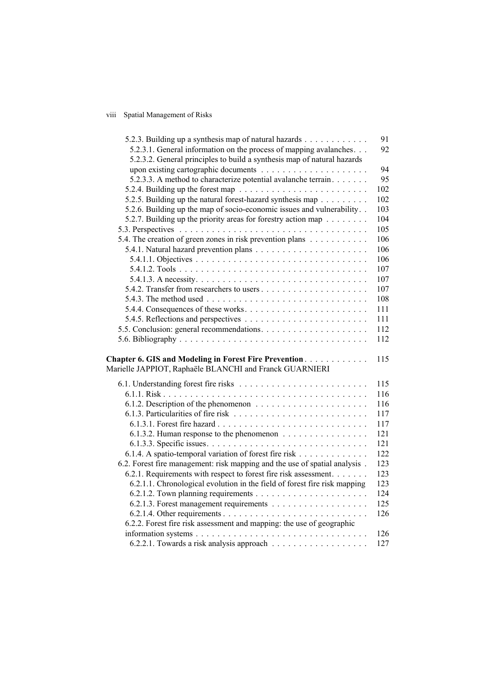## viii Spatial Management of Risks

| 5.2.3. Building up a synthesis map of natural hazards                                                       | 91  |
|-------------------------------------------------------------------------------------------------------------|-----|
| 5.2.3.1. General information on the process of mapping avalanches                                           | 92  |
| 5.2.3.2. General principles to build a synthesis map of natural hazards                                     |     |
|                                                                                                             | 94  |
| 5.2.3.3. A method to characterize potential avalanche terrain.                                              | 95  |
|                                                                                                             | 102 |
| 5.2.5. Building up the natural forest-hazard synthesis map                                                  | 102 |
| 5.2.6. Building up the map of socio-economic issues and vulnerability                                       | 103 |
| 5.2.7. Building up the priority areas for forestry action map $\ldots \ldots$                               | 104 |
|                                                                                                             | 105 |
| 5.4. The creation of green zones in risk prevention plans                                                   | 106 |
|                                                                                                             | 106 |
|                                                                                                             | 106 |
|                                                                                                             | 107 |
| 5.4.1.3. A necessity. $\dots \dots \dots \dots \dots \dots \dots \dots \dots \dots \dots \dots \dots \dots$ | 107 |
|                                                                                                             | 107 |
| 5.4.3. The method used $\ldots \ldots \ldots \ldots \ldots \ldots \ldots \ldots \ldots \ldots$              | 108 |
|                                                                                                             | 111 |
|                                                                                                             | 111 |
|                                                                                                             | 112 |
|                                                                                                             | 112 |
|                                                                                                             |     |
| Chapter 6. GIS and Modeling in Forest Fire Prevention                                                       | 115 |
| Marielle JAPPIOT, Raphaële BLANCHI and Franck GUARNIERI                                                     |     |
|                                                                                                             | 115 |
|                                                                                                             | 116 |
| 6.1.2. Description of the phenomenon $\dots \dots \dots \dots \dots \dots \dots$                            | 116 |
|                                                                                                             | 117 |
|                                                                                                             | 117 |
| 6.1.3.2. Human response to the phenomenon                                                                   | 121 |
|                                                                                                             | 121 |
| 6.1.4. A spatio-temporal variation of forest fire risk                                                      | 122 |
| 6.2. Forest fire management: risk mapping and the use of spatial analysis.                                  | 123 |
| 6.2.1. Requirements with respect to forest fire risk assessment.                                            | 123 |
| 6.2.1.1. Chronological evolution in the field of forest fire risk mapping                                   | 123 |
|                                                                                                             | 124 |
|                                                                                                             | 125 |
|                                                                                                             | 126 |
| 6.2.2. Forest fire risk assessment and mapping: the use of geographic                                       |     |
|                                                                                                             | 126 |
|                                                                                                             | 127 |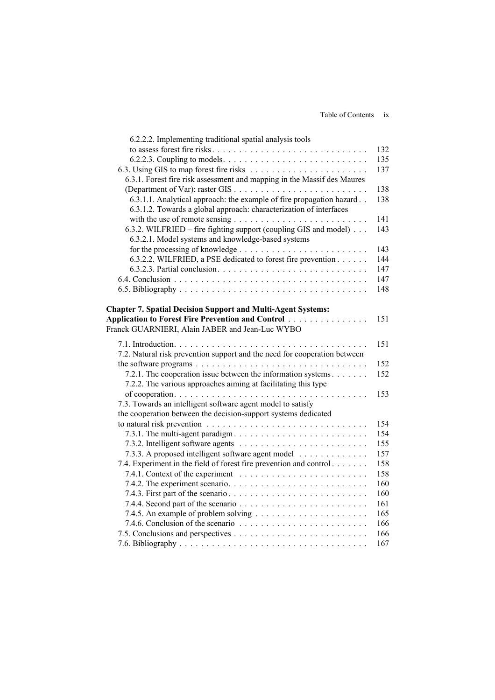| 6.2.2.2. Implementing traditional spatial analysis tools                                             |            |
|------------------------------------------------------------------------------------------------------|------------|
|                                                                                                      | 132        |
|                                                                                                      | 135        |
|                                                                                                      | 137        |
| 6.3.1. Forest fire risk assessment and mapping in the Massif des Maures                              |            |
|                                                                                                      | 138        |
| 6.3.1.1. Analytical approach: the example of fire propagation hazard                                 | 138        |
| 6.3.1.2. Towards a global approach: characterization of interfaces                                   |            |
|                                                                                                      | 141        |
| 6.3.2. WILFRIED – fire fighting support (coupling GIS and model)                                     | 143        |
| 6.3.2.1. Model systems and knowledge-based systems                                                   |            |
|                                                                                                      | 143        |
| 6.3.2.2. WILFRIED, a PSE dedicated to forest fire prevention                                         | 144        |
|                                                                                                      | 147        |
|                                                                                                      | 147        |
|                                                                                                      | 148        |
|                                                                                                      |            |
| <b>Chapter 7. Spatial Decision Support and Multi-Agent Systems:</b>                                  |            |
| Application to Forest Fire Prevention and Control                                                    | 151        |
| Franck GUARNIERI, Alain JABER and Jean-Luc WYBO                                                      |            |
|                                                                                                      | 151        |
| 7.2. Natural risk prevention support and the need for cooperation between                            |            |
| the software programs $\ldots \ldots \ldots \ldots \ldots \ldots \ldots \ldots \ldots \ldots \ldots$ | 152        |
| 7.2.1. The cooperation issue between the information systems                                         | 152        |
| 7.2.2. The various approaches aiming at facilitating this type                                       |            |
| of cooperation. $\ldots \ldots \ldots \ldots \ldots \ldots \ldots \ldots$<br>.                       | 153        |
| 7.3. Towards an intelligent software agent model to satisfy                                          |            |
| the cooperation between the decision-support systems dedicated                                       |            |
|                                                                                                      | 154        |
|                                                                                                      | 154        |
|                                                                                                      | 155        |
| 7.3.3. A proposed intelligent software agent model                                                   | 157        |
| 7.4. Experiment in the field of forest fire prevention and control                                   | 158        |
| 7.4.1. Context of the experiment $\ldots \ldots \ldots \ldots \ldots \ldots \ldots$                  | 158        |
|                                                                                                      | 160        |
|                                                                                                      | 160<br>161 |
|                                                                                                      | 165        |
|                                                                                                      | 166        |
|                                                                                                      | 166        |
|                                                                                                      | 167        |
|                                                                                                      |            |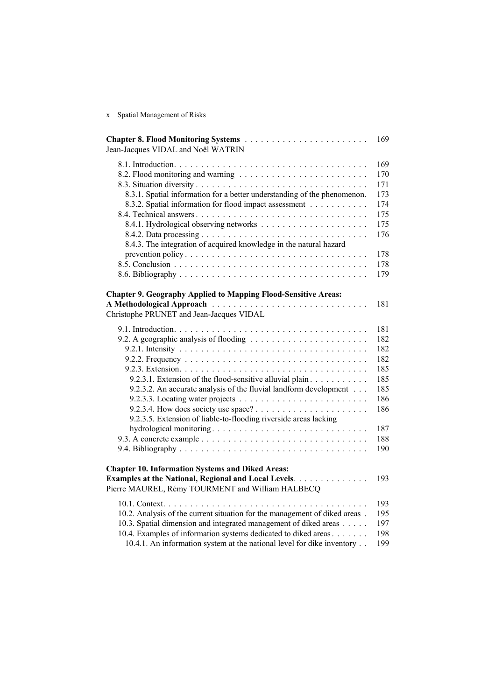x Spatial Management of Risks

| Jean-Jacques VIDAL and Noël WATRIN                                                                                                                                                                                                                                                         | 169                                                                              |
|--------------------------------------------------------------------------------------------------------------------------------------------------------------------------------------------------------------------------------------------------------------------------------------------|----------------------------------------------------------------------------------|
| 8.3.1. Spatial information for a better understanding of the phenomenon.<br>8.3.2. Spatial information for flood impact assessment<br>8.4.3. The integration of acquired knowledge in the natural hazard<br>prevention policy                                                              | 169<br>170<br>171<br>173<br>174<br>175<br>175<br>176<br>178<br>178<br>179        |
| <b>Chapter 9. Geography Applied to Mapping Flood-Sensitive Areas:</b><br>Christophe PRUNET and Jean-Jacques VIDAL                                                                                                                                                                          | 181                                                                              |
| 9.2.3.1. Extension of the flood-sensitive alluvial plain<br>9.2.3.2. An accurate analysis of the fluvial landform development<br>9.2.3.5. Extension of liable-to-flooding riverside areas lacking                                                                                          | 181<br>182<br>182<br>182<br>185<br>185<br>185<br>186<br>186<br>187<br>188<br>190 |
| <b>Chapter 10. Information Systems and Diked Areas:</b><br>Examples at the National, Regional and Local Levels.<br>Pierre MAUREL, Rémy TOURMENT and William HALBECQ                                                                                                                        | 193                                                                              |
| 10.2. Analysis of the current situation for the management of diked areas.<br>10.3. Spatial dimension and integrated management of diked areas<br>10.4. Examples of information systems dedicated to diked areas<br>10.4.1. An information system at the national level for dike inventory | 193<br>195<br>197<br>198<br>199                                                  |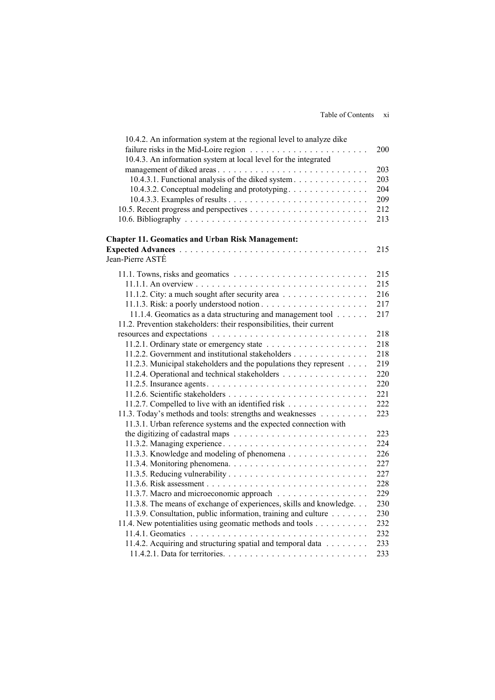| 10.4.2. An information system at the regional level to analyze dike<br>failure risks in the Mid-Loire region $\ldots \ldots \ldots \ldots \ldots \ldots \ldots$ | 200 |
|-----------------------------------------------------------------------------------------------------------------------------------------------------------------|-----|
| 10.4.3. An information system at local level for the integrated                                                                                                 |     |
| management of diked areas                                                                                                                                       | 203 |
| 10.4.3.1. Functional analysis of the diked system                                                                                                               | 203 |
| 10.4.3.2. Conceptual modeling and prototyping                                                                                                                   | 204 |
|                                                                                                                                                                 | 209 |
|                                                                                                                                                                 | 212 |
|                                                                                                                                                                 | 213 |
| <b>Chapter 11. Geomatics and Urban Risk Management:</b>                                                                                                         |     |
|                                                                                                                                                                 | 215 |
| Jean-Pierre ASTÉ                                                                                                                                                |     |
|                                                                                                                                                                 | 215 |
|                                                                                                                                                                 | 215 |
| 11.1.2. City: a much sought after security area                                                                                                                 | 216 |
|                                                                                                                                                                 | 217 |
| 11.1.4. Geomatics as a data structuring and management tool                                                                                                     | 217 |
| 11.2. Prevention stakeholders: their responsibilities, their current                                                                                            |     |
|                                                                                                                                                                 | 218 |
|                                                                                                                                                                 | 218 |
| 11.2.2. Government and institutional stakeholders                                                                                                               | 218 |
| 11.2.3. Municipal stakeholders and the populations they represent                                                                                               | 219 |
| 11.2.4. Operational and technical stakeholders                                                                                                                  | 220 |
|                                                                                                                                                                 | 220 |
|                                                                                                                                                                 | 221 |
| 11.2.7. Compelled to live with an identified risk                                                                                                               | 222 |
| 11.3. Today's methods and tools: strengths and weaknesses                                                                                                       | 223 |
| 11.3.1. Urban reference systems and the expected connection with                                                                                                |     |
|                                                                                                                                                                 | 223 |
|                                                                                                                                                                 | 224 |
| 11.3.3. Knowledge and modeling of phenomena                                                                                                                     | 226 |
|                                                                                                                                                                 | 227 |
|                                                                                                                                                                 | 227 |
|                                                                                                                                                                 | 228 |
|                                                                                                                                                                 | 229 |
|                                                                                                                                                                 | 230 |
| 11.3.8. The means of exchange of experiences, skills and knowledge.                                                                                             |     |
| 11.3.9. Consultation, public information, training and culture                                                                                                  | 230 |
| 11.4. New potentialities using geomatic methods and tools                                                                                                       | 232 |
|                                                                                                                                                                 | 232 |
| 11.4.2. Acquiring and structuring spatial and temporal data                                                                                                     | 233 |
|                                                                                                                                                                 | 233 |